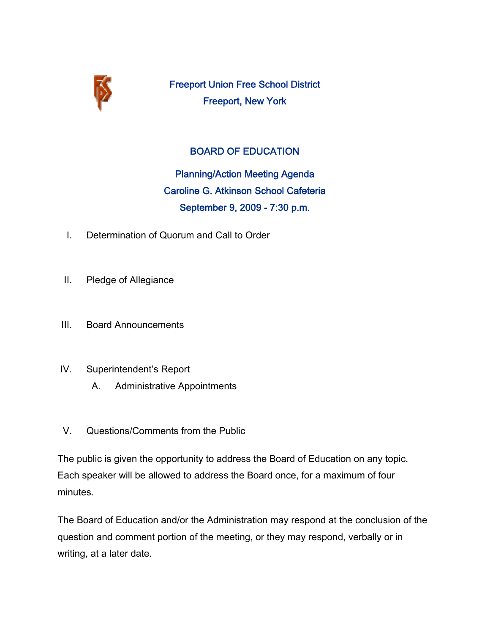

Freeport Union Free School District Freeport, New York

# BOARD OF EDUCATION

Planning/Action Meeting Agenda Caroline G. Atkinson School Cafeteria September 9, 2009 - 7:30 p.m.

- I. Determination of Quorum and Call to Order
- II. Pledge of Allegiance
- III. Board Announcements
- IV. Superintendent's Report
	- A. Administrative Appointments
- V. Questions/Comments from the Public

The public is given the opportunity to address the Board of Education on any topic. Each speaker will be allowed to address the Board once, for a maximum of four minutes.

The Board of Education and/or the Administration may respond at the conclusion of the question and comment portion of the meeting, or they may respond, verbally or in writing, at a later date.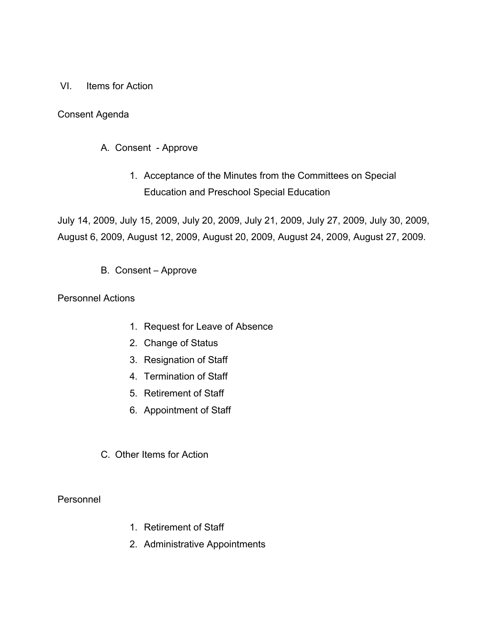### VI. Items for Action

# Consent Agenda

# A. Consent - Approve

1. Acceptance of the Minutes from the Committees on Special Education and Preschool Special Education

July 14, 2009, July 15, 2009, July 20, 2009, July 21, 2009, July 27, 2009, July 30, 2009, August 6, 2009, August 12, 2009, August 20, 2009, August 24, 2009, August 27, 2009.

B. Consent – Approve

### Personnel Actions

- 1. Request for Leave of Absence
- 2. Change of Status
- 3. Resignation of Staff
- 4. Termination of Staff
- 5. Retirement of Staff
- 6. Appointment of Staff
- C. Other Items for Action

Personnel

- 1. Retirement of Staff
- 2. Administrative Appointments